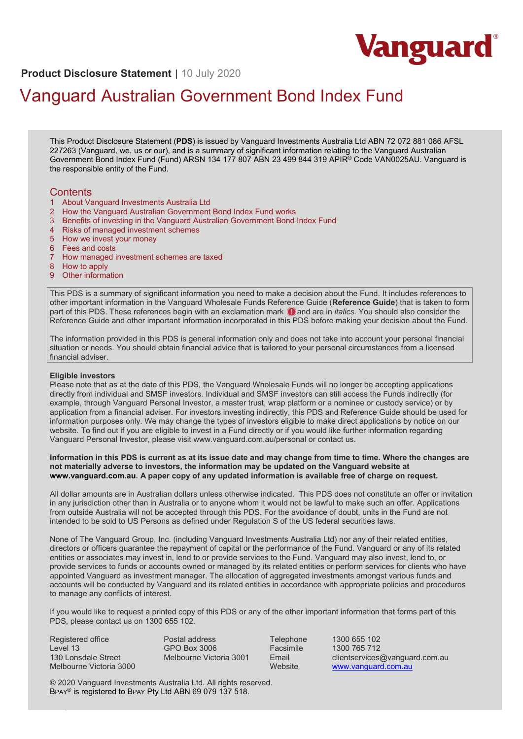

**Product Disclosure Statement** | 10 July 2020

# Vanguard Australian Government Bond Index Fund

This Product Disclosure Statement (**PDS**) is issued by Vanguard Investments Australia Ltd ABN 72 072 881 086 AFSL 227263 (Vanguard, we, us or our), and is a summary of significant information relating to the Vanguard Australian Government Bond Index Fund (Fund) ARSN 134 177 807 ABN 23 499 844 319 APIR® Code VAN0025AU. Vanguard is the responsible entity of the Fund.

# **Contents**

- 1 About Vanguard Investments Australia Ltd
- 2 How the Vanguard Australian Government Bond Index Fund works
- 3 Benefits of investing in the Vanguard Australian Government Bond Index Fund
- 4 Risks of managed investment schemes
- 5 How we invest your money
- 6 Fees and costs
- 7 How managed investment schemes are taxed
- 8 How to apply
- 9 Other information

This PDS is a summary of significant information you need to make a decision about the Fund. It includes references to other important information in the Vanguard Wholesale Funds Reference Guide (**Reference Guide**) that is taken to form part of this PDS. These references begin with an exclamation mark  $\Theta$  and are in *italics*. You should also consider the Reference Guide and other important information incorporated in this PDS before making your decision about the Fund.

The information provided in this PDS is general information only and does not take into account your personal financial situation or needs. You should obtain financial advice that is tailored to your personal circumstances from a licensed financial adviser.

#### **Eligible investors**

Please note that as at the date of this PDS, the Vanguard Wholesale Funds will no longer be accepting applications directly from individual and SMSF investors. Individual and SMSF investors can still access the Funds indirectly (for example, through Vanguard Personal Investor, a master trust, wrap platform or a nominee or custody service) or by application from a financial adviser. For investors investing indirectly, this PDS and Reference Guide should be used for information purposes only. We may change the types of investors eligible to make direct applications by notice on our website. To find out if you are eligible to invest in a Fund directly or if you would like further information regarding Vanguard Personal Investor, please visit www.vanguard.com.au/personal or contact us.

#### **Information in this PDS is current as at its issue date and may change from time to time. Where the changes are not materially adverse to investors, the information may be updated on the Vanguard website at [www.vanguard.com.au.](http://www.vanguard.com.au/) A paper copy of any updated information is available free of charge on request.**

All dollar amounts are in Australian dollars unless otherwise indicated. This PDS does not constitute an offer or invitation in any jurisdiction other than in Australia or to anyone whom it would not be lawful to make such an offer. Applications from outside Australia will not be accepted through this PDS. For the avoidance of doubt, units in the Fund are not intended to be sold to US Persons as defined under Regulation S of the US federal securities laws.

None of The Vanguard Group, Inc. (including Vanguard Investments Australia Ltd) nor any of their related entities, directors or officers guarantee the repayment of capital or the performance of the Fund. Vanguard or any of its related entities or associates may invest in, lend to or provide services to the Fund. Vanguard may also invest, lend to, or provide services to funds or accounts owned or managed by its related entities or perform services for clients who have appointed Vanguard as investment manager. The allocation of aggregated investments amongst various funds and accounts will be conducted by Vanguard and its related entities in accordance with appropriate policies and procedures to manage any conflicts of interest.

If you would like to request a printed copy of this PDS or any of the other important information that forms part of this PDS, please contact us on 1300 655 102.

 $\mathcal{L}(\mathcal{L})$  and  $\mathcal{L}(\mathcal{L})$  and  $\mathcal{L}(\mathcal{L})$  index  $\mathcal{L}(\mathcal{L})$  and  $\mathcal{L}(\mathcal{L})$  is a statement  $\mathcal{L}(\mathcal{L})$  and  $\mathcal{L}(\mathcal{L})$ 

Registered office Level 13 130 Lonsdale Street Melbourne Victoria 3000 Postal address GPO Box 3006 Melbourne Victoria 3001

Telephone 1300 655 102<br>
Facsimile 1300 765 712 Facsimile 1300 765 712 Email clientservices@vanguard.com.au<br>Website www.vanguard.com.au [www.vanguard.com.au](http://www.vanguard.com.au/)

© 2020 Vanguard Investments Australia Ltd. All rights reserved. BPAY® is registered to BPAY Pty Ltd ABN 69 079 137 518.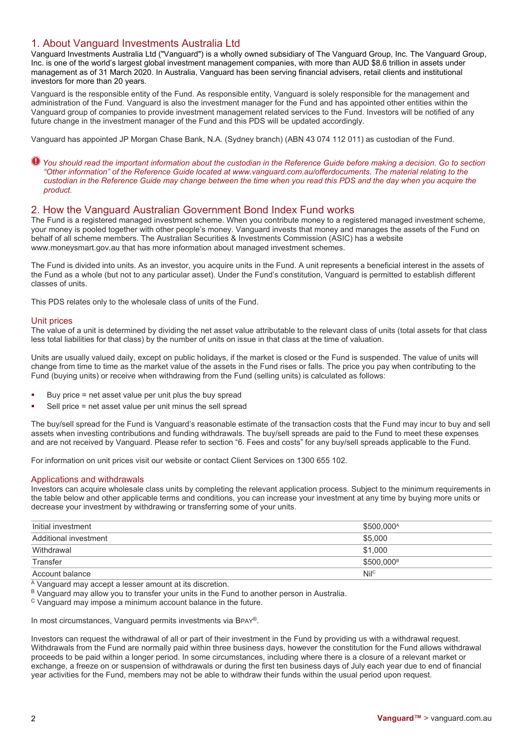# 1. About Vanguard Investments Australia Ltd

Vanguard Investments Australia Ltd ("Vanguard") is a wholly owned subsidiary of The Vanguard Group, Inc. The Vanguard Group, Inc. is one of the world's largest global investment management companies, with more than AUD \$8.6 trillion in assets under management as of 31 March 2020. In Australia, Vanguard has been serving financial advisers, retail clients and institutional investors for more than 20 years.

Vanguard is the responsible entity of the Fund. As responsible entity, Vanguard is solely responsible for the management and administration of the Fund. Vanguard is also the investment manager for the Fund and has appointed other entities within the Vanguard group of companies to provide investment management related services to the Fund. Investors will be notified of any future change in the investment manager of the Fund and this PDS will be updated accordingly.

Vanguard has appointed JP Morgan Chase Bank, N.A. (Sydney branch) (ABN 43 074 112 011) as custodian of the Fund.

*You should read the important information about the custodian in the Reference Guide before making a decision. Go to section "Other information" of the Reference Guide located at [www.vanguard.com.au/offerdocuments.](http://www.vanguard.com.au/offerdocuments) The material relating to the custodian in the Reference Guide may change between the time when you read this PDS and the day when you acquire the product.*

# 2. How the Vanguard Australian Government Bond Index Fund works

The Fund is a registered managed investment scheme. When you contribute money to a registered managed investment scheme, your money is pooled together with other people's money. Vanguard invests that money and manages the assets of the Fund on behalf of all scheme members. The Australian Securities & Investments Commission (ASIC) has a website www.moneysmart.gov.au that has more information about managed investment schemes.

The Fund is divided into units. As an investor, you acquire units in the Fund. A unit represents a beneficial interest in the assets of the Fund as a whole (but not to any particular asset). Under the Fund's constitution, Vanguard is permitted to establish different classes of units.

This PDS relates only to the wholesale class of units of the Fund.

## Unit prices

The value of a unit is determined by dividing the net asset value attributable to the relevant class of units (total assets for that class less total liabilities for that class) by the number of units on issue in that class at the time of valuation.

Units are usually valued daily, except on public holidays, if the market is closed or the Fund is suspended. The value of units will change from time to time as the market value of the assets in the Fund rises or falls. The price you pay when contributing to the Fund (buying units) or receive when withdrawing from the Fund (selling units) is calculated as follows:

- Buy price = net asset value per unit plus the buy spread
- Sell price = net asset value per unit minus the sell spread

The buy/sell spread for the Fund is Vanguard's reasonable estimate of the transaction costs that the Fund may incur to buy and sell assets when investing contributions and funding withdrawals. The buy/sell spreads are paid to the Fund to meet these expenses and are not received by Vanguard. Please refer to section "6. Fees and costs" for any buy/sell spreads applicable to the Fund.

For information on unit prices visit our website or contact Client Services on 1300 655 102.

#### Applications and withdrawals

Investors can acquire wholesale class units by completing the relevant application process. Subject to the minimum requirements in the table below and other applicable terms and conditions, you can increase your investment at any time by buying more units or decrease your investment by withdrawing or transferring some of your units.

| Initial investment    | \$500,000 <sup>A</sup> |
|-----------------------|------------------------|
| Additional investment | \$5.000                |
| Withdrawal            | \$1.000                |
| Transfer              | \$500,000 <sup>B</sup> |
| Account balance       | Nil <sup>c</sup>       |
|                       |                        |

 $\overline{A}$  Vanguard may accept a lesser amount at its discretion.

B Vanguard may allow you to transfer your units in the Fund to another person in Australia.

<sup>C</sup> Vanguard may impose a minimum account balance in the future.

In most circumstances, Vanguard permits investments via BPAY®.

Investors can request the withdrawal of all or part of their investment in the Fund by providing us with a withdrawal request. Withdrawals from the Fund are normally paid within three business days, however the constitution for the Fund allows withdrawal proceeds to be paid within a longer period. In some circumstances, including where there is a closure of a relevant market or exchange, a freeze on or suspension of withdrawals or during the first ten business days of July each year due to end of financial year activities for the Fund, members may not be able to withdraw their funds within the usual period upon request.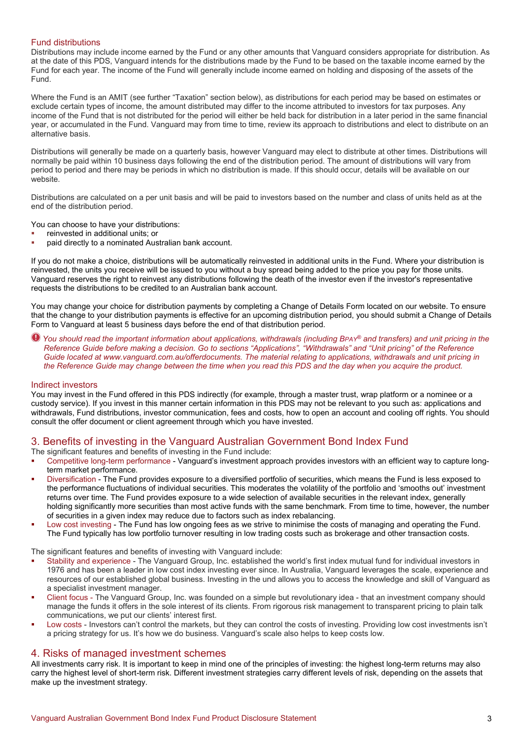## Fund distributions

Distributions may include income earned by the Fund or any other amounts that Vanguard considers appropriate for distribution. As at the date of this PDS, Vanguard intends for the distributions made by the Fund to be based on the taxable income earned by the Fund for each year. The income of the Fund will generally include income earned on holding and disposing of the assets of the Fund.

Where the Fund is an AMIT (see further "Taxation" section below), as distributions for each period may be based on estimates or exclude certain types of income, the amount distributed may differ to the income attributed to investors for tax purposes. Any income of the Fund that is not distributed for the period will either be held back for distribution in a later period in the same financial year, or accumulated in the Fund. Vanguard may from time to time, review its approach to distributions and elect to distribute on an alternative basis.

Distributions will generally be made on a quarterly basis, however Vanguard may elect to distribute at other times. Distributions will normally be paid within 10 business days following the end of the distribution period. The amount of distributions will vary from period to period and there may be periods in which no distribution is made. If this should occur, details will be available on our website.

Distributions are calculated on a per unit basis and will be paid to investors based on the number and class of units held as at the end of the distribution period.

You can choose to have your distributions:

- reinvested in additional units; or
- paid directly to a nominated Australian bank account.

If you do not make a choice, distributions will be automatically reinvested in additional units in the Fund. Where your distribution is reinvested, the units you receive will be issued to you without a buy spread being added to the price you pay for those units. Vanguard reserves the right to reinvest any distributions following the death of the investor even if the investor's representative requests the distributions to be credited to an Australian bank account.

You may change your choice for distribution payments by completing a Change of Details Form located on our website. To ensure that the change to your distribution payments is effective for an upcoming distribution period, you should submit a Change of Details Form to Vanguard at least 5 business days before the end of that distribution period.

*You should read the important information about applications, withdrawals (including BPAY® and transfers) and unit pricing in the Reference Guide before making a decision. Go to sections "Applications", "Withdrawals" and "Unit pricing" of the Reference Guide located at www.vanguard.com.au/offerdocuments. The material relating to applications, withdrawals and unit pricing in the Reference Guide may change between the time when you read this PDS and the day when you acquire the product.*

#### Indirect investors

You may invest in the Fund offered in this PDS indirectly (for example, through a master trust, wrap platform or a nominee or a custody service). If you invest in this manner certain information in this PDS may not be relevant to you such as: applications and withdrawals, Fund distributions, investor communication, fees and costs, how to open an account and cooling off rights. You should consult the offer document or client agreement through which you have invested.

# 3. Benefits of investing in the Vanguard Australian Government Bond Index Fund

The significant features and benefits of investing in the Fund include:

- Competitive long-term performance Vanguard's investment approach provides investors with an efficient way to capture longterm market performance.
- Diversification The Fund provides exposure to a diversified portfolio of securities, which means the Fund is less exposed to the performance fluctuations of individual securities. This moderates the volatility of the portfolio and 'smooths out' investment returns over time. The Fund provides exposure to a wide selection of available securities in the relevant index, generally holding significantly more securities than most active funds with the same benchmark. From time to time, however, the number of securities in a given index may reduce due to factors such as index rebalancing.
- Low cost investing The Fund has low ongoing fees as we strive to minimise the costs of managing and operating the Fund. The Fund typically has low portfolio turnover resulting in low trading costs such as brokerage and other transaction costs.

The significant features and benefits of investing with Vanguard include:

- Stability and experience The Vanguard Group, Inc. established the world's first index mutual fund for individual investors in 1976 and has been a leader in low cost index investing ever since. In Australia, Vanguard leverages the scale, experience and resources of our established global business. Investing in the und allows you to access the knowledge and skill of Vanguard as a specialist investment manager.
- Client focus The Vanguard Group, Inc. was founded on a simple but revolutionary idea that an investment company should manage the funds it offers in the sole interest of its clients. From rigorous risk management to transparent pricing to plain talk communications, we put our clients' interest first.
- Low costs Investors can't control the markets, but they can control the costs of investing. Providing low cost investments isn't a pricing strategy for us. It's how we do business. Vanguard's scale also helps to keep costs low.

# 4. Risks of managed investment schemes

All investments carry risk. It is important to keep in mind one of the principles of investing: the highest long-term returns may also carry the highest level of short-term risk. Different investment strategies carry different levels of risk, depending on the assets that make up the investment strategy.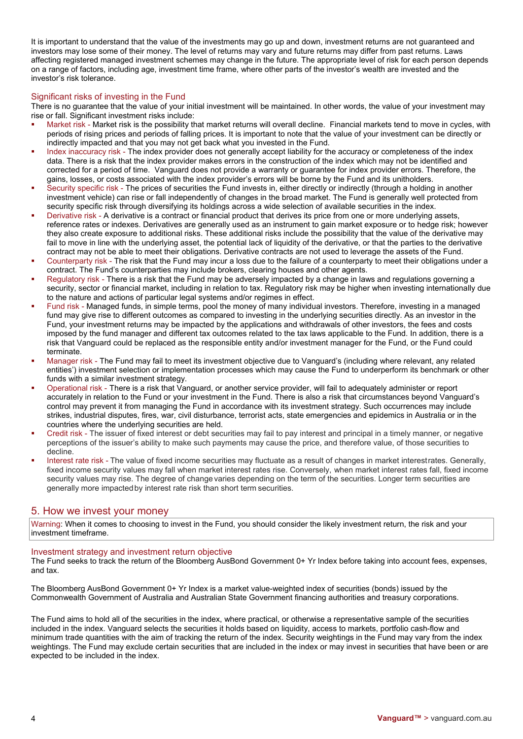It is important to understand that the value of the investments may go up and down, investment returns are not guaranteed and investors may lose some of their money. The level of returns may vary and future returns may differ from past returns. Laws affecting registered managed investment schemes may change in the future. The appropriate level of risk for each person depends on a range of factors, including age, investment time frame, where other parts of the investor's wealth are invested and the investor's risk tolerance.

## Significant risks of investing in the Fund

There is no guarantee that the value of your initial investment will be maintained. In other words, the value of your investment may rise or fall. Significant investment risks include:

- Market risk Market risk is the possibility that market returns will overall decline. Financial markets tend to move in cycles, with periods of rising prices and periods of falling prices. It is important to note that the value of your investment can be directly or indirectly impacted and that you may not get back what you invested in the Fund.
- Index inaccuracy risk The index provider does not generally accept liability for the accuracy or completeness of the index data. There is a risk that the index provider makes errors in the construction of the index which may not be identified and corrected for a period of time. Vanguard does not provide a warranty or guarantee for index provider errors. Therefore, the gains, losses, or costs associated with the index provider's errors will be borne by the Fund and its unitholders.
- Security specific risk The prices of securities the Fund invests in, either directly or indirectly (through a holding in another investment vehicle) can rise or fall independently of changes in the broad market. The Fund is generally well protected from security specific risk through diversifying its holdings across a wide selection of available securities in the index.
- Derivative risk A derivative is a contract or financial product that derives its price from one or more underlying assets, reference rates or indexes. Derivatives are generally used as an instrument to gain market exposure or to hedge risk; however they also create exposure to additional risks. These additional risks include the possibility that the value of the derivative may fail to move in line with the underlying asset, the potential lack of liquidity of the derivative, or that the parties to the derivative contract may not be able to meet their obligations. Derivative contracts are not used to leverage the assets of the Fund.
- Counterparty risk The risk that the Fund may incur a loss due to the failure of a counterparty to meet their obligations under a contract. The Fund's counterparties may include brokers, clearing houses and other agents.
- Regulatory risk There is a risk that the Fund may be adversely impacted by a change in laws and regulations governing a security, sector or financial market, including in relation to tax. Regulatory risk may be higher when investing internationally due to the nature and actions of particular legal systems and/or regimes in effect.
- Fund risk Managed funds, in simple terms, pool the money of many individual investors. Therefore, investing in a managed fund may give rise to different outcomes as compared to investing in the underlying securities directly. As an investor in the Fund, your investment returns may be impacted by the applications and withdrawals of other investors, the fees and costs imposed by the fund manager and different tax outcomes related to the tax laws applicable to the Fund. In addition, there is a risk that Vanguard could be replaced as the responsible entity and/or investment manager for the Fund, or the Fund could terminate.
- Manager risk The Fund may fail to meet its investment objective due to Vanguard's (including where relevant, any related entities') investment selection or implementation processes which may cause the Fund to underperform its benchmark or other funds with a similar investment strategy.
- Operational risk There is a risk that Vanguard, or another service provider, will fail to adequately administer or report accurately in relation to the Fund or your investment in the Fund. There is also a risk that circumstances beyond Vanguard's control may prevent it from managing the Fund in accordance with its investment strategy. Such occurrences may include strikes, industrial disputes, fires, war, civil disturbance, terrorist acts, state emergencies and epidemics in Australia or in the countries where the underlying securities are held.
- Credit risk The issuer of fixed interest or debt securities may fail to pay interest and principal in a timely manner, or negative perceptions of the issuer's ability to make such payments may cause the price, and therefore value, of those securities to decline.
- Interest rate risk The value of fixed income securities may fluctuate as a result of changes in market interestrates. Generally, fixed income security values may fall when market interest rates rise. Conversely, when market interest rates fall, fixed income security values may rise. The degree of change varies depending on the term of the securities. Longer term securities are generally more impactedby interest rate risk than short term securities.

# 5. How we invest your money

Warning: When it comes to choosing to invest in the Fund, you should consider the likely investment return, the risk and your investment timeframe.

### Investment strategy and investment return objective

The Fund seeks to track the return of the Bloomberg AusBond Government 0+ Yr Index before taking into account fees, expenses, and tax.

The Bloomberg AusBond Government 0+ Yr Index is a market value-weighted index of securities (bonds) issued by the Commonwealth Government of Australia and Australian State Government financing authorities and treasury corporations.

The Fund aims to hold all of the securities in the index, where practical, or otherwise a representative sample of the securities included in the index. Vanguard selects the securities it holds based on liquidity, access to markets, portfolio cash-flow and minimum trade quantities with the aim of tracking the return of the index. Security weightings in the Fund may vary from the index weightings. The Fund may exclude certain securities that are included in the index or may invest in securities that have been or are expected to be included in the index.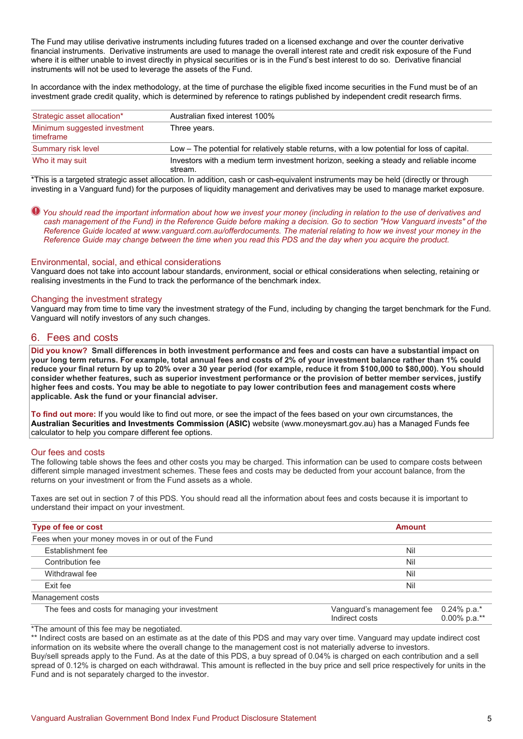The Fund may utilise derivative instruments including futures traded on a licensed exchange and over the counter derivative financial instruments. Derivative instruments are used to manage the overall interest rate and credit risk exposure of the Fund where it is either unable to invest directly in physical securities or is in the Fund's best interest to do so. Derivative financial instruments will not be used to leverage the assets of the Fund.

In accordance with the index methodology, at the time of purchase the eligible fixed income securities in the Fund must be of an investment grade credit quality, which is determined by reference to ratings published by independent credit research firms.

| Strategic asset allocation*               | Australian fixed interest 100%                                                                   |
|-------------------------------------------|--------------------------------------------------------------------------------------------------|
| Minimum suggested investment<br>timeframe | Three years.                                                                                     |
| Summary risk level                        | Low – The potential for relatively stable returns, with a low potential for loss of capital.     |
| Who it may suit                           | Investors with a medium term investment horizon, seeking a steady and reliable income<br>stream. |

\*This is a targeted strategic asset allocation. In addition, cash or cash-equivalent instruments may be held (directly or through investing in a Vanguard fund) for the purposes of liquidity management and derivatives may be used to manage market exposure.

*You should read the important information about how we invest your money (including in relation to the use of derivatives and cash management of the Fund) in the Reference Guide before making a decision. Go to section "How Vanguard invests" of the Reference Guide located at www.vanguard.com.au/offerdocuments. The material relating to how we invest your money in the Reference Guide may change between the time when you read this PDS and the day when you acquire the product.* 

## Environmental, social, and ethical considerations

Vanguard does not take into account labour standards, environment, social or ethical considerations when selecting, retaining or realising investments in the Fund to track the performance of the benchmark index.

#### Changing the investment strategy

Vanguard may from time to time vary the investment strategy of the Fund, including by changing the target benchmark for the Fund. Vanguard will notify investors of any such changes.

# 6. Fees and costs

**Did you know? Small differences in both investment performance and fees and costs can have a substantial impact on your long term returns. For example, total annual fees and costs of 2% of your investment balance rather than 1% could reduce your final return by up to 20% over a 30 year period (for example, reduce it from \$100,000 to \$80,000). You should consider whether features, such as superior investment performance or the provision of better member services, justify higher fees and costs. You may be able to negotiate to pay lower contribution fees and management costs where applicable. Ask the fund or your financial adviser.**

**To find out more:** If you would like to find out more, or see the impact of the fees based on your own circumstances, the **Australian Securities and Investments Commission (ASIC)** website (www.moneysmart.gov.au) has a Managed Funds fee calculator to help you compare different fee options.

#### Our fees and costs

The following table shows the fees and other costs you may be charged. This information can be used to compare costs between different simple managed investment schemes. These fees and costs may be deducted from your account balance, from the returns on your investment or from the Fund assets as a whole.

Taxes are set out in section 7 of this PDS. You should read all the information about fees and costs because it is important to understand their impact on your investment.

| Type of fee or cost<br><b>Amount</b>             |                                                                            |  |  |
|--------------------------------------------------|----------------------------------------------------------------------------|--|--|
| Fees when your money moves in or out of the Fund |                                                                            |  |  |
| Establishment fee                                | Nil                                                                        |  |  |
| Contribution fee                                 | Nil                                                                        |  |  |
| Withdrawal fee                                   | Nil                                                                        |  |  |
| Exit fee                                         | Nil                                                                        |  |  |
| Management costs                                 |                                                                            |  |  |
| The fees and costs for managing your investment  | Vanguard's management fee 0.24% p.a.*<br>$0.00\%$ p.a.**<br>Indirect costs |  |  |

\*The amount of this fee may be negotiated.

\*\* Indirect costs are based on an estimate as at the date of this PDS and may vary over time. Vanguard may update indirect cost information on its website where the overall change to the management cost is not materially adverse to investors. Buy/sell spreads apply to the Fund. As at the date of this PDS, a buy spread of 0.04% is charged on each contribution and a sell

spread of 0.12% is charged on each withdrawal. This amount is reflected in the buy price and sell price respectively for units in the Fund and is not separately charged to the investor.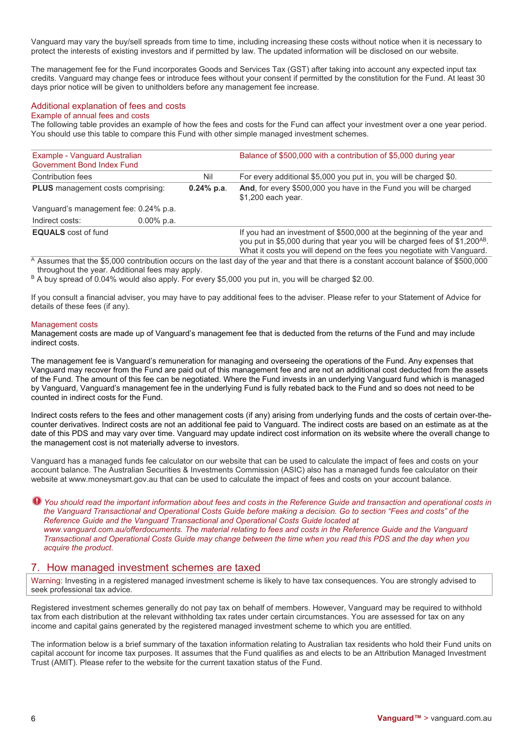Vanguard may vary the buy/sell spreads from time to time, including increasing these costs without notice when it is necessary to protect the interests of existing investors and if permitted by law. The updated information will be disclosed on our website.

The management fee for the Fund incorporates Goods and Services Tax (GST) after taking into account any expected input tax credits. Vanguard may change fees or introduce fees without your consent if permitted by the constitution for the Fund. At least 30 days prior notice will be given to unitholders before any management fee increase.

## Additional explanation of fees and costs

# Example of annual fees and costs

The following table provides an example of how the fees and costs for the Fund can affect your investment over a one year period. You should use this table to compare this Fund with other simple managed investment schemes.

| Example - Vanguard Australian<br><b>Government Bond Index Fund</b> |               |                      | Balance of \$500,000 with a contribution of \$5,000 during year                                                                                                                                                                             |  |
|--------------------------------------------------------------------|---------------|----------------------|---------------------------------------------------------------------------------------------------------------------------------------------------------------------------------------------------------------------------------------------|--|
| Contribution fees<br><b>PLUS</b> management costs comprising:      |               | Nil<br>$0.24\%$ p.a. | For every additional \$5,000 you put in, you will be charged \$0.                                                                                                                                                                           |  |
|                                                                    |               |                      | And, for every \$500,000 you have in the Fund you will be charged<br>\$1,200 each year.                                                                                                                                                     |  |
| Vanguard's management fee: 0.24% p.a.                              |               |                      |                                                                                                                                                                                                                                             |  |
| Indirect costs:                                                    | $0.00\%$ p.a. |                      |                                                                                                                                                                                                                                             |  |
| <b>EQUALS</b> cost of fund                                         |               |                      | If you had an investment of \$500,000 at the beginning of the year and<br>you put in \$5,000 during that year you will be charged fees of \$1,200 <sup>AB</sup> .<br>What it costs you will depend on the fees you negotiate with Vanguard. |  |

<sup>A</sup> Assumes that the \$5,000 contribution occurs on the last day of the year and that there is a constant account balance of \$500,000 throughout the year. Additional fees may apply.

B A buy spread of 0.04% would also apply. For every \$5,000 you put in, you will be charged \$2.00.

If you consult a financial adviser, you may have to pay additional fees to the adviser. Please refer to your Statement of Advice for details of these fees (if any).

#### Management costs

Management costs are made up of Vanguard's management fee that is deducted from the returns of the Fund and may include indirect costs.

The management fee is Vanguard's remuneration for managing and overseeing the operations of the Fund. Any expenses that Vanguard may recover from the Fund are paid out of this management fee and are not an additional cost deducted from the assets of the Fund. The amount of this fee can be negotiated. Where the Fund invests in an underlying Vanguard fund which is managed by Vanguard, Vanguard's management fee in the underlying Fund is fully rebated back to the Fund and so does not need to be counted in indirect costs for the Fund.

Indirect costs refers to the fees and other management costs (if any) arising from underlying funds and the costs of certain over-thecounter derivatives. Indirect costs are not an additional fee paid to Vanguard. The indirect costs are based on an estimate as at the date of this PDS and may vary over time. Vanguard may update indirect cost information on its website where the overall change to the management cost is not materially adverse to investors.

Vanguard has a managed funds fee calculator on our website that can be used to calculate the impact of fees and costs on your account balance. The Australian Securities & Investments Commission (ASIC) also has a managed funds fee calculator on their website at www.moneysmart.gov.au that can be used to calculate the impact of fees and costs on your account balance.

*You should read the important information about fees and costs in the Reference Guide and transaction and operational costs in the Vanguard Transactional and Operational Costs Guide before making a decision. Go to section "Fees and costs" of the Reference Guide and the Vanguard Transactional and Operational Costs Guide located at www.vanguard.com.au/offerdocuments. The material relating to fees and costs in the Reference Guide and the Vanguard Transactional and Operational Costs Guide may change between the time when you read this PDS and the day when you acquire the product.*

# 7. How managed investment schemes are taxed

Warning: Investing in a registered managed investment scheme is likely to have tax consequences. You are strongly advised to seek professional tax advice.

Registered investment schemes generally do not pay tax on behalf of members. However, Vanguard may be required to withhold tax from each distribution at the relevant withholding tax rates under certain circumstances. You are assessed for tax on any income and capital gains generated by the registered managed investment scheme to which you are entitled.

The information below is a brief summary of the taxation information relating to Australian tax residents who hold their Fund units on capital account for income tax purposes. It assumes that the Fund qualifies as and elects to be an Attribution Managed Investment Trust (AMIT). Please refer to the website for the current taxation status of the Fund.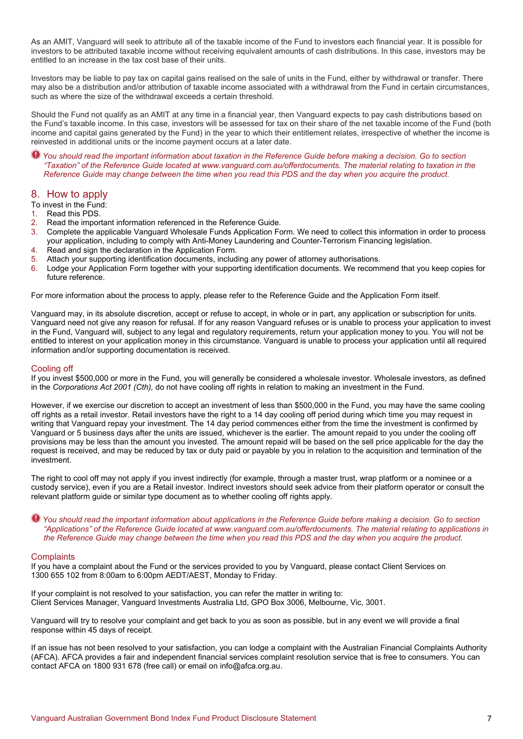As an AMIT, Vanguard will seek to attribute all of the taxable income of the Fund to investors each financial year. It is possible for investors to be attributed taxable income without receiving equivalent amounts of cash distributions. In this case, investors may be entitled to an increase in the tax cost base of their units.

Investors may be liable to pay tax on capital gains realised on the sale of units in the Fund, either by withdrawal or transfer. There may also be a distribution and/or attribution of taxable income associated with a withdrawal from the Fund in certain circumstances, such as where the size of the withdrawal exceeds a certain threshold.

Should the Fund not qualify as an AMIT at any time in a financial year, then Vanguard expects to pay cash distributions based on the Fund's taxable income. In this case, investors will be assessed for tax on their share of the net taxable income of the Fund (both income and capital gains generated by the Fund) in the year to which their entitlement relates, irrespective of whether the income is reinvested in additional units or the income payment occurs at a later date.

*You should read the important information about taxation in the Reference Guide before making a decision. Go to section "Taxation" of the Reference Guide located at [www.vanguard.com.au/offerdocuments.](http://www.vanguard.com.au/referenceguide) The material relating to taxation in the Reference Guide may change between the time when you read this PDS and the day when you acquire the product.* 

# 8. How to apply

To invest in the Fund:

- 1. Read this PDS.
- 2. Read the important information referenced in the Reference Guide.
- 3. Complete the applicable Vanguard Wholesale Funds Application Form. We need to collect this information in order to process your application, including to comply with Anti-Money Laundering and Counter-Terrorism Financing legislation.
- 4. Read and sign the declaration in the Application Form.
- 5. Attach your supporting identification documents, including any power of attorney authorisations.
- 6. Lodge your Application Form together with your supporting identification documents. We recommend that you keep copies for future reference.

For more information about the process to apply, please refer to the Reference Guide and the Application Form itself.

Vanguard may, in its absolute discretion, accept or refuse to accept, in whole or in part, any application or subscription for units. Vanguard need not give any reason for refusal. If for any reason Vanguard refuses or is unable to process your application to invest in the Fund, Vanguard will, subject to any legal and regulatory requirements, return your application money to you. You will not be entitled to interest on your application money in this circumstance. Vanguard is unable to process your application until all required information and/or supporting documentation is received.

### Cooling off

If you invest \$500,000 or more in the Fund, you will generally be considered a wholesale investor. Wholesale investors, as defined in the *Corporations Act 2001 (Cth),* do not have cooling off rights in relation to making an investment in the Fund.

However, if we exercise our discretion to accept an investment of less than \$500,000 in the Fund, you may have the same cooling off rights as a retail investor. Retail investors have the right to a 14 day cooling off period during which time you may request in writing that Vanguard repay your investment. The 14 day period commences either from the time the investment is confirmed by Vanguard or 5 business days after the units are issued, whichever is the earlier. The amount repaid to you under the cooling off provisions may be less than the amount you invested. The amount repaid will be based on the sell price applicable for the day the request is received, and may be reduced by tax or duty paid or payable by you in relation to the acquisition and termination of the investment.

The right to cool off may not apply if you invest indirectly (for example, through a master trust, wrap platform or a nominee or a custody service), even if you are a Retail investor. Indirect investors should seek advice from their platform operator or consult the relevant platform guide or similar type document as to whether cooling off rights apply.

*You should read the important information about applications in the Reference Guide before making a decision. Go to section "Applications" of the Reference Guide located at www.vanguard.com.au/offerdocuments. The material relating to applications in the Reference Guide may change between the time when you read this PDS and the day when you acquire the product.*

#### **Complaints**

If you have a complaint about the Fund or the services provided to you by Vanguard, please contact Client Services on 1300 655 102 from 8:00am to 6:00pm AEDT/AEST, Monday to Friday.

If your complaint is not resolved to your satisfaction, you can refer the matter in writing to: Client Services Manager, Vanguard Investments Australia Ltd, GPO Box 3006, Melbourne, Vic, 3001.

Vanguard will try to resolve your complaint and get back to you as soon as possible, but in any event we will provide a final response within 45 days of receipt.

If an issue has not been resolved to your satisfaction, you can lodge a complaint with the Australian Financial Complaints Authority (AFCA). AFCA provides a fair and independent financial services complaint resolution service that is free to consumers. You can contact AFCA on 1800 931 678 (free call) or email o[n info@afca.org.au.](mailto:info@afca.org.au)